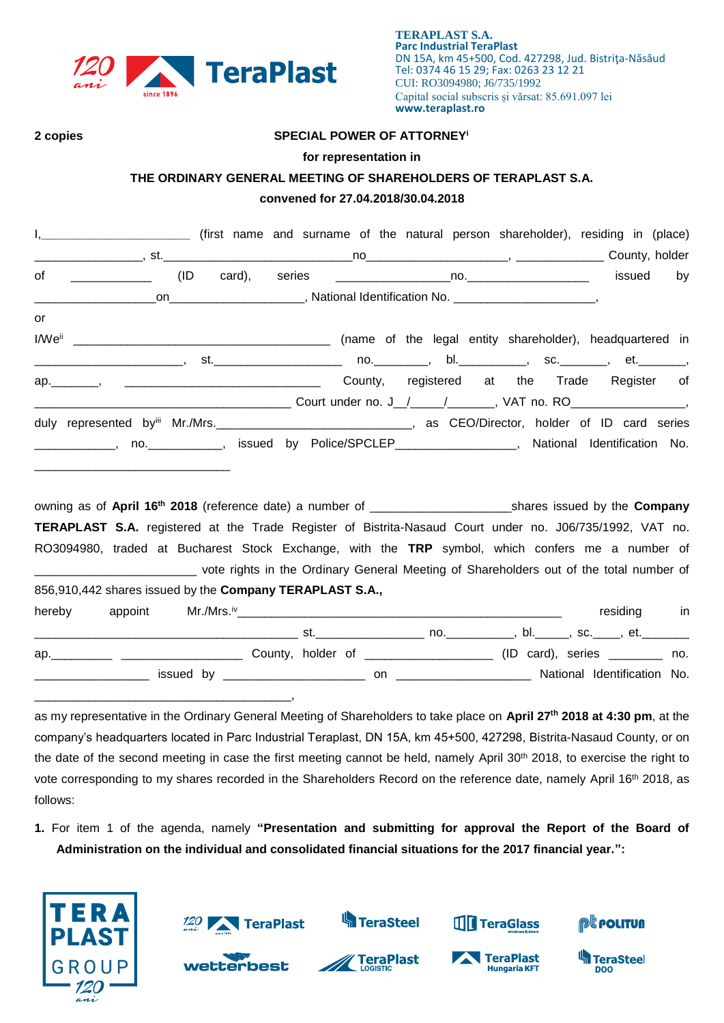

#### **2 copies SPECIAL POWER OF ATTORNEY<sup>i</sup>**

#### **for representation in**

# **THE ORDINARY GENERAL MEETING OF SHAREHOLDERS OF TERAPLAST S.A.**

## **convened for 27.04.2018/30.04.2018**

|        | I, ____________________________ (first name and surname of the natural person shareholder), residing in (place)                                                                                                                                                                                                                                                                                                                                       |     |                                                                                                                                                                                                                               |                          |  |             |     |
|--------|-------------------------------------------------------------------------------------------------------------------------------------------------------------------------------------------------------------------------------------------------------------------------------------------------------------------------------------------------------------------------------------------------------------------------------------------------------|-----|-------------------------------------------------------------------------------------------------------------------------------------------------------------------------------------------------------------------------------|--------------------------|--|-------------|-----|
|        |                                                                                                                                                                                                                                                                                                                                                                                                                                                       |     |                                                                                                                                                                                                                               |                          |  |             |     |
| of     | $\begin{tabular}{ccccc} \multicolumn{2}{c }{\textbf{1} & \multicolumn{2}{c }{\textbf{2} & \multicolumn{2}{c }{\textbf{3} & \multicolumn{2}{c }{\textbf{4} & \multicolumn{2}{c }{\textbf{5} & \multicolumn{2}{c }{\textbf{6} & \multicolumn{2}{c }{\textbf{6} & \multicolumn{2}{c }{\textbf{6} & \multicolumn{2}{c }{\textbf{6} & \multicolumn{2}{c }{\textbf{6} & \multicolumn{2}{c }{\textbf{6} & \multicolumn{2}{c }{\textbf{6} & \multicolumn{2}{$ | (ID |                                                                                                                                                                                                                               |                          |  | issued      | by  |
|        |                                                                                                                                                                                                                                                                                                                                                                                                                                                       |     |                                                                                                                                                                                                                               |                          |  |             |     |
| or     |                                                                                                                                                                                                                                                                                                                                                                                                                                                       |     |                                                                                                                                                                                                                               |                          |  |             |     |
|        |                                                                                                                                                                                                                                                                                                                                                                                                                                                       |     |                                                                                                                                                                                                                               |                          |  |             |     |
|        |                                                                                                                                                                                                                                                                                                                                                                                                                                                       |     |                                                                                                                                                                                                                               |                          |  |             |     |
|        | ap. Manuscript Aregister of County, registered at the Trade Register of                                                                                                                                                                                                                                                                                                                                                                               |     |                                                                                                                                                                                                                               |                          |  |             |     |
|        |                                                                                                                                                                                                                                                                                                                                                                                                                                                       |     |                                                                                                                                                                                                                               |                          |  |             |     |
|        |                                                                                                                                                                                                                                                                                                                                                                                                                                                       |     |                                                                                                                                                                                                                               |                          |  |             |     |
|        | _____________, no.____________, issued by Police/SPCLEP_________________, National Identification No.                                                                                                                                                                                                                                                                                                                                                 |     |                                                                                                                                                                                                                               |                          |  |             |     |
|        |                                                                                                                                                                                                                                                                                                                                                                                                                                                       |     |                                                                                                                                                                                                                               |                          |  |             |     |
|        |                                                                                                                                                                                                                                                                                                                                                                                                                                                       |     |                                                                                                                                                                                                                               |                          |  |             |     |
|        |                                                                                                                                                                                                                                                                                                                                                                                                                                                       |     |                                                                                                                                                                                                                               |                          |  |             |     |
|        | TERAPLAST S.A. registered at the Trade Register of Bistrita-Nasaud Court under no. J06/735/1992, VAT no.                                                                                                                                                                                                                                                                                                                                              |     |                                                                                                                                                                                                                               |                          |  |             |     |
|        | RO3094980, traded at Bucharest Stock Exchange, with the TRP symbol, which confers me a number of                                                                                                                                                                                                                                                                                                                                                      |     |                                                                                                                                                                                                                               |                          |  |             |     |
|        | vote rights in the Ordinary General Meeting of Shareholders out of the total number of with the total number of                                                                                                                                                                                                                                                                                                                                       |     |                                                                                                                                                                                                                               |                          |  |             |     |
|        | 856,910,442 shares issued by the Company TERAPLAST S.A.,                                                                                                                                                                                                                                                                                                                                                                                              |     |                                                                                                                                                                                                                               |                          |  |             |     |
| hereby | appoint                                                                                                                                                                                                                                                                                                                                                                                                                                               |     |                                                                                                                                                                                                                               |                          |  | residing in |     |
|        |                                                                                                                                                                                                                                                                                                                                                                                                                                                       |     |                                                                                                                                                                                                                               |                          |  |             |     |
|        |                                                                                                                                                                                                                                                                                                                                                                                                                                                       |     |                                                                                                                                                                                                                               |                          |  |             | no. |
|        |                                                                                                                                                                                                                                                                                                                                                                                                                                                       |     | issued by the contract of the contract of the contract of the contract of the contract of the contract of the contract of the contract of the contract of the contract of the contract of the contract of the contract of the | on and Dentification No. |  |             |     |

as my representative in the Ordinary General Meeting of Shareholders to take place on **April 27 th 2018 at 4:30 pm**, at the company's headquarters located in Parc Industrial Teraplast, DN 15A, km 45+500, 427298, Bistrita-Nasaud County, or on the date of the second meeting in case the first meeting cannot be held, namely April 30<sup>th</sup> 2018, to exercise the right to vote corresponding to my shares recorded in the Shareholders Record on the reference date, namely April 16<sup>th</sup> 2018, as follows:

**1.** For item 1 of the agenda, namely **"Presentation and submitting for approval the Report of the Board of Administration on the individual and consolidated financial situations for the 2017 financial year.":**



\_\_\_\_\_\_\_\_\_\_\_\_\_\_\_\_\_\_\_\_\_\_\_\_\_\_\_\_\_\_\_\_\_\_\_\_\_\_,

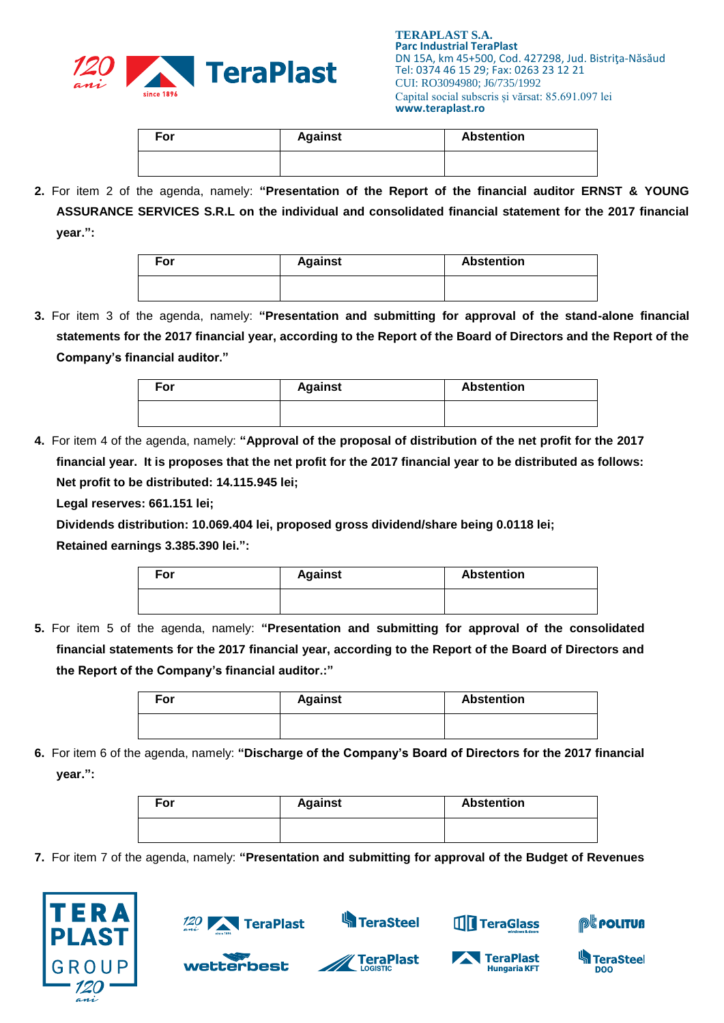

| For | <b>Against</b> | <b>Abstention</b> |
|-----|----------------|-------------------|
|     |                |                   |

**2.** For item 2 of the agenda, namely: **"Presentation of the Report of the financial auditor ERNST & YOUNG ASSURANCE SERVICES S.R.L on the individual and consolidated financial statement for the 2017 financial year.":**

| For | <b>Against</b> | <b>Abstention</b> |
|-----|----------------|-------------------|
|     |                |                   |

**3.** For item 3 of the agenda, namely: **"Presentation and submitting for approval of the stand-alone financial statements for the 2017 financial year, according to the Report of the Board of Directors and the Report of the Company's financial auditor."**

| For | <b>Against</b> | <b>Abstention</b> |
|-----|----------------|-------------------|
|     |                |                   |

**4.** For item 4 of the agenda, namely: **"Approval of the proposal of distribution of the net profit for the 2017 financial year. It is proposes that the net profit for the 2017 financial year to be distributed as follows: Net profit to be distributed: 14.115.945 lei;**

**Legal reserves: 661.151 lei;**

**Dividends distribution: 10.069.404 lei, proposed gross dividend/share being 0.0118 lei;**

**Retained earnings 3.385.390 lei.":**

| For | <b>Against</b> | <b>Abstention</b> |
|-----|----------------|-------------------|
|     |                |                   |

**5.** For item 5 of the agenda, namely: **"Presentation and submitting for approval of the consolidated financial statements for the 2017 financial year, according to the Report of the Board of Directors and the Report of the Company's financial auditor.:"**

| For | <b>Against</b> | <b>Abstention</b> |
|-----|----------------|-------------------|
|     |                |                   |

**6.** For item 6 of the agenda, namely: **"Discharge of the Company's Board of Directors for the 2017 financial year.":**

| For | <b>Against</b> | <b>Abstention</b> |
|-----|----------------|-------------------|
|     |                |                   |

**7.** For item 7 of the agenda, namely: **"Presentation and submitting for approval of the Budget of Revenues** 





wetterbest

**S**TeraSteel

**TeraPlast** 





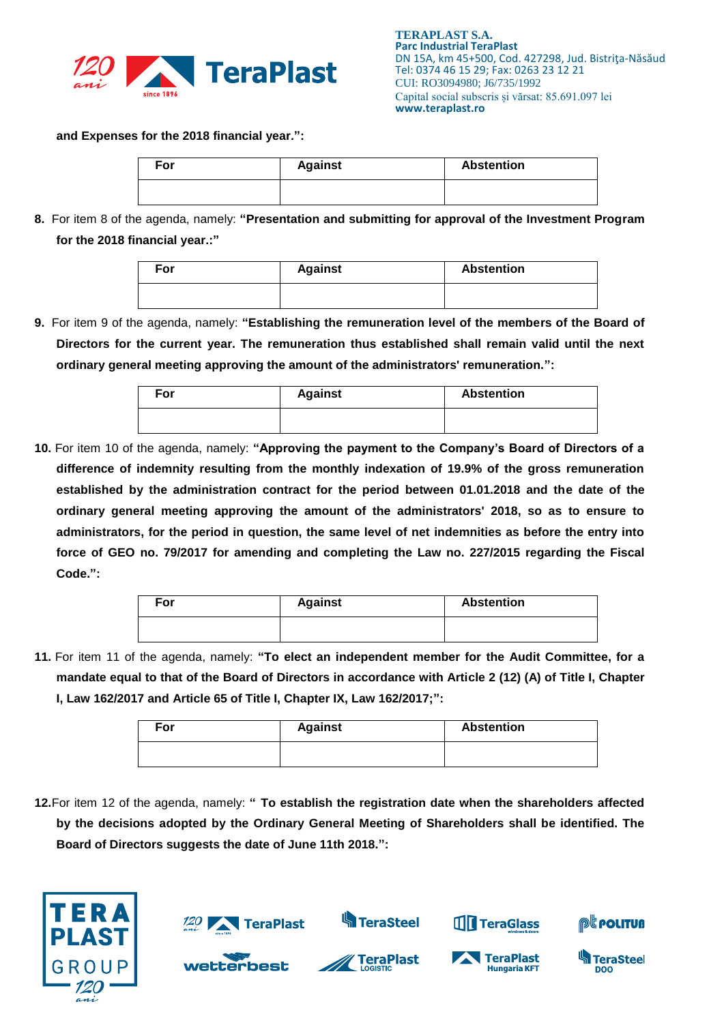

**and Expenses for the 2018 financial year.":**

| For | <b>Against</b> | <b>Abstention</b> |
|-----|----------------|-------------------|
|     |                |                   |

**8.** For item 8 of the agenda, namely: **"Presentation and submitting for approval of the Investment Program for the 2018 financial year.:"**

| For | <b>Against</b> | <b>Abstention</b> |
|-----|----------------|-------------------|
|     |                |                   |

**9.** For item 9 of the agenda, namely: **"Establishing the remuneration level of the members of the Board of Directors for the current year. The remuneration thus established shall remain valid until the next ordinary general meeting approving the amount of the administrators' remuneration.":**

| For | <b>Against</b> | <b>Abstention</b> |
|-----|----------------|-------------------|
|     |                |                   |

**10.** For item 10 of the agenda, namely: **"Approving the payment to the Company's Board of Directors of a difference of indemnity resulting from the monthly indexation of 19.9% of the gross remuneration established by the administration contract for the period between 01.01.2018 and the date of the ordinary general meeting approving the amount of the administrators' 2018, so as to ensure to administrators, for the period in question, the same level of net indemnities as before the entry into force of GEO no. 79/2017 for amending and completing the Law no. 227/2015 regarding the Fiscal Code.":**

| For | <b>Against</b> | <b>Abstention</b> |
|-----|----------------|-------------------|
|     |                |                   |

**11.** For item 11 of the agenda, namely: **"To elect an independent member for the Audit Committee, for a mandate equal to that of the Board of Directors in accordance with Article 2 (12) (A) of Title I, Chapter I, Law 162/2017 and Article 65 of Title I, Chapter IX, Law 162/2017;":**

| For | <b>Against</b> | <b>Abstention</b> |
|-----|----------------|-------------------|
|     |                |                   |

**12.**For item 12 of the agenda, namely: **" To establish the registration date when the shareholders affected by the decisions adopted by the Ordinary General Meeting of Shareholders shall be identified. The Board of Directors suggests the date of June 11th 2018.":**



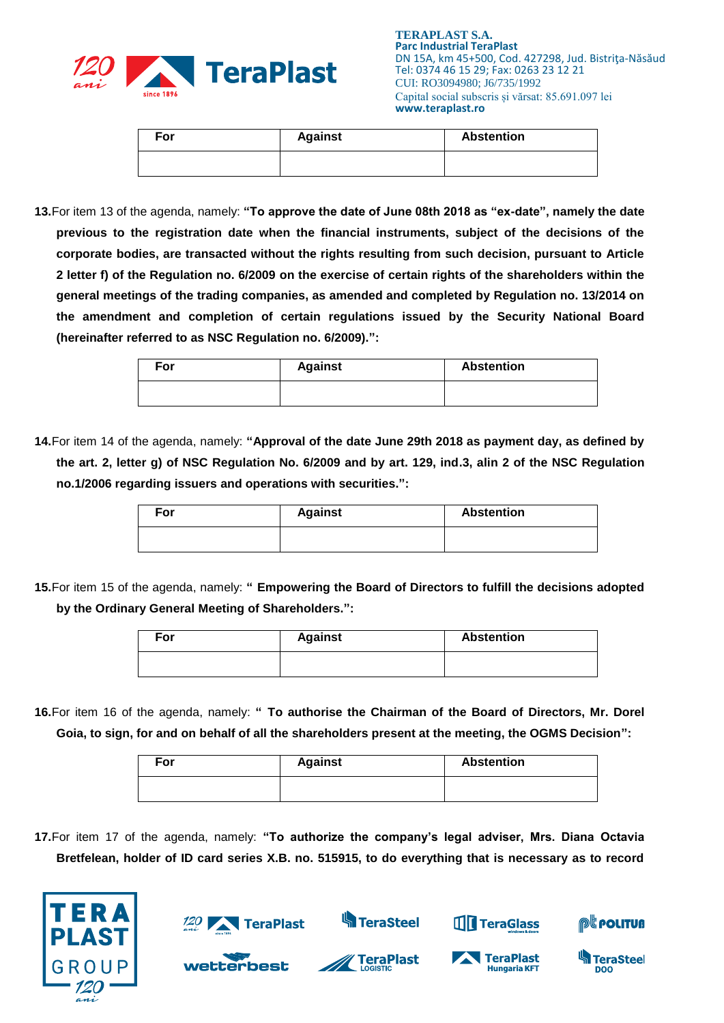

| For | <b>Against</b> | <b>Abstention</b> |
|-----|----------------|-------------------|
|     |                |                   |

**13.**For item 13 of the agenda, namely: **"To approve the date of June 08th 2018 as "ex-date", namely the date previous to the registration date when the financial instruments, subject of the decisions of the corporate bodies, are transacted without the rights resulting from such decision, pursuant to Article 2 letter f) of the Regulation no. 6/2009 on the exercise of certain rights of the shareholders within the general meetings of the trading companies, as amended and completed by Regulation no. 13/2014 on the amendment and completion of certain regulations issued by the Security National Board (hereinafter referred to as NSC Regulation no. 6/2009).":**

| For | <b>Against</b> | <b>Abstention</b> |
|-----|----------------|-------------------|
|     |                |                   |

**14.**For item 14 of the agenda, namely: **"Approval of the date June 29th 2018 as payment day, as defined by the art. 2, letter g) of NSC Regulation No. 6/2009 and by art. 129, ind.3, alin 2 of the NSC Regulation no.1/2006 regarding issuers and operations with securities.":**

| For | <b>Against</b> | <b>Abstention</b> |
|-----|----------------|-------------------|
|     |                |                   |

**15.**For item 15 of the agenda, namely: **" Empowering the Board of Directors to fulfill the decisions adopted by the Ordinary General Meeting of Shareholders.":**

| For | <b>Against</b> | <b>Abstention</b> |
|-----|----------------|-------------------|
|     |                |                   |

**16.**For item 16 of the agenda, namely: **" To authorise the Chairman of the Board of Directors, Mr. Dorel Goia, to sign, for and on behalf of all the shareholders present at the meeting, the OGMS Decision":**

| For | <b>Against</b> | <b>Abstention</b> |
|-----|----------------|-------------------|
|     |                |                   |

**17.**For item 17 of the agenda, namely: **"To authorize the company's legal adviser, Mrs. Diana Octavia Bretfelean, holder of ID card series X.B. no. 515915, to do everything that is necessary as to record** 





**wetterbest** 

**S**TeraSteel

**TeraPlast**